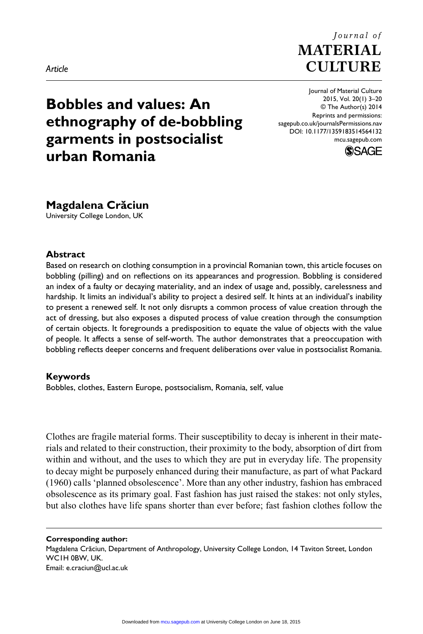#### *Article*

# **Bobbles and values: An ethnography of de-bobbling garments in postsocialist urban Romania**

© The Author(s) 2014 Reprints and permissions: sagepub.co.uk/journalsPermissions.nav DOI: 10.1177/1359183514564132 mcu.sagepub.com **SSAGE** 

**Magdalena Crăciun**

University College London, UK

## **Abstract**

Based on research on clothing consumption in a provincial Romanian town, this article focuses on bobbling (pilling) and on reflections on its appearances and progression. Bobbling is considered an index of a faulty or decaying materiality, and an index of usage and, possibly, carelessness and hardship. It limits an individual's ability to project a desired self. It hints at an individual's inability to present a renewed self. It not only disrupts a common process of value creation through the act of dressing, but also exposes a disputed process of value creation through the consumption of certain objects. It foregrounds a predisposition to equate the value of objects with the value of people. It affects a sense of self-worth. The author demonstrates that a preoccupation with bobbling reflects deeper concerns and frequent deliberations over value in postsocialist Romania.

## **Keywords**

Bobbles, clothes, Eastern Europe, postsocialism, Romania, self, value

Clothes are fragile material forms. Their susceptibility to decay is inherent in their materials and related to their construction, their proximity to the body, absorption of dirt from within and without, and the uses to which they are put in everyday life. The propensity to decay might be purposely enhanced during their manufacture, as part of what Packard (1960) calls 'planned obsolescence'. More than any other industry, fashion has embraced obsolescence as its primary goal. Fast fashion has just raised the stakes: not only styles, but also clothes have life spans shorter than ever before; fast fashion clothes follow the

**Corresponding author:**

Magdalena Crăciun, Department of Anthropology, University College London, 14 Taviton Street, London WC1H 0BW, UK. Email: [e.craciun@ucl.ac.uk](mailto:e.craciun@ucl.ac.uk)



Journal of Material Culture 2015, Vol. 20(1) 3–20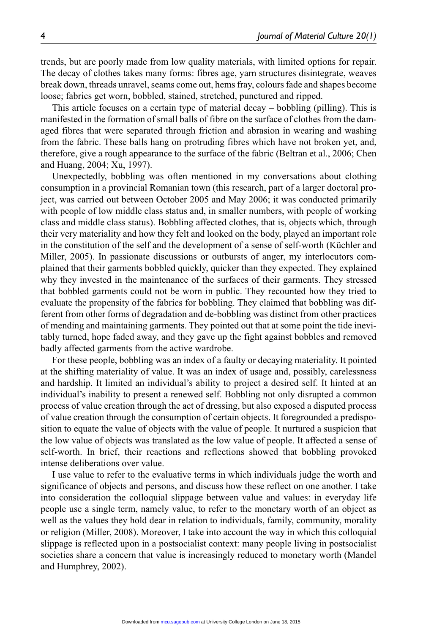trends, but are poorly made from low quality materials, with limited options for repair. The decay of clothes takes many forms: fibres age, yarn structures disintegrate, weaves break down, threads unravel, seams come out, hems fray, colours fade and shapes become loose; fabrics get worn, bobbled, stained, stretched, punctured and ripped.

This article focuses on a certain type of material decay – bobbling (pilling). This is manifested in the formation of small balls of fibre on the surface of clothes from the damaged fibres that were separated through friction and abrasion in wearing and washing from the fabric. These balls hang on protruding fibres which have not broken yet, and, therefore, give a rough appearance to the surface of the fabric (Beltran et al., 2006; Chen and Huang, 2004; Xu, 1997).

Unexpectedly, bobbling was often mentioned in my conversations about clothing consumption in a provincial Romanian town (this research, part of a larger doctoral project, was carried out between October 2005 and May 2006; it was conducted primarily with people of low middle class status and, in smaller numbers, with people of working class and middle class status). Bobbling affected clothes, that is, objects which, through their very materiality and how they felt and looked on the body, played an important role in the constitution of the self and the development of a sense of self-worth (Küchler and Miller, 2005). In passionate discussions or outbursts of anger, my interlocutors complained that their garments bobbled quickly, quicker than they expected. They explained why they invested in the maintenance of the surfaces of their garments. They stressed that bobbled garments could not be worn in public. They recounted how they tried to evaluate the propensity of the fabrics for bobbling. They claimed that bobbling was different from other forms of degradation and de-bobbling was distinct from other practices of mending and maintaining garments. They pointed out that at some point the tide inevitably turned, hope faded away, and they gave up the fight against bobbles and removed badly affected garments from the active wardrobe.

For these people, bobbling was an index of a faulty or decaying materiality. It pointed at the shifting materiality of value. It was an index of usage and, possibly, carelessness and hardship. It limited an individual's ability to project a desired self. It hinted at an individual's inability to present a renewed self. Bobbling not only disrupted a common process of value creation through the act of dressing, but also exposed a disputed process of value creation through the consumption of certain objects. It foregrounded a predisposition to equate the value of objects with the value of people. It nurtured a suspicion that the low value of objects was translated as the low value of people. It affected a sense of self-worth. In brief, their reactions and reflections showed that bobbling provoked intense deliberations over value.

I use value to refer to the evaluative terms in which individuals judge the worth and significance of objects and persons, and discuss how these reflect on one another. I take into consideration the colloquial slippage between value and values: in everyday life people use a single term, namely value, to refer to the monetary worth of an object as well as the values they hold dear in relation to individuals, family, community, morality or religion (Miller, 2008). Moreover, I take into account the way in which this colloquial slippage is reflected upon in a postsocialist context: many people living in postsocialist societies share a concern that value is increasingly reduced to monetary worth (Mandel and Humphrey, 2002).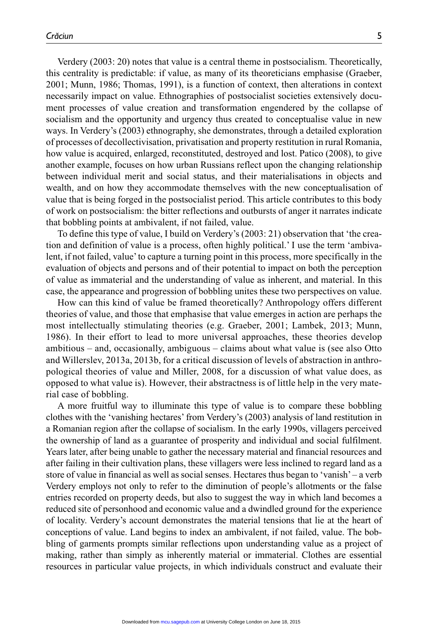Verdery (2003: 20) notes that value is a central theme in postsocialism. Theoretically, this centrality is predictable: if value, as many of its theoreticians emphasise (Graeber, 2001; Munn, 1986; Thomas, 1991), is a function of context, then alterations in context necessarily impact on value. Ethnographies of postsocialist societies extensively document processes of value creation and transformation engendered by the collapse of socialism and the opportunity and urgency thus created to conceptualise value in new ways. In Verdery's (2003) ethnography, she demonstrates, through a detailed exploration of processes of decollectivisation, privatisation and property restitution in rural Romania, how value is acquired, enlarged, reconstituted, destroyed and lost. Patico (2008), to give another example, focuses on how urban Russians reflect upon the changing relationship between individual merit and social status, and their materialisations in objects and wealth, and on how they accommodate themselves with the new conceptualisation of value that is being forged in the postsocialist period. This article contributes to this body of work on postsocialism: the bitter reflections and outbursts of anger it narrates indicate that bobbling points at ambivalent, if not failed, value.

To define this type of value, I build on Verdery's (2003: 21) observation that 'the creation and definition of value is a process, often highly political.' I use the term 'ambivalent, if not failed, value' to capture a turning point in this process, more specifically in the evaluation of objects and persons and of their potential to impact on both the perception of value as immaterial and the understanding of value as inherent, and material. In this case, the appearance and progression of bobbling unites these two perspectives on value.

How can this kind of value be framed theoretically? Anthropology offers different theories of value, and those that emphasise that value emerges in action are perhaps the most intellectually stimulating theories (e.g. Graeber, 2001; Lambek, 2013; Munn, 1986). In their effort to lead to more universal approaches, these theories develop ambitious – and, occasionally, ambiguous – claims about what value is (see also Otto and Willerslev, 2013a, 2013b, for a critical discussion of levels of abstraction in anthropological theories of value and Miller, 2008, for a discussion of what value does, as opposed to what value is). However, their abstractness is of little help in the very material case of bobbling.

A more fruitful way to illuminate this type of value is to compare these bobbling clothes with the 'vanishing hectares' from Verdery's (2003) analysis of land restitution in a Romanian region after the collapse of socialism. In the early 1990s, villagers perceived the ownership of land as a guarantee of prosperity and individual and social fulfilment. Years later, after being unable to gather the necessary material and financial resources and after failing in their cultivation plans, these villagers were less inclined to regard land as a store of value in financial as well as social senses. Hectares thus began to 'vanish' – a verb Verdery employs not only to refer to the diminution of people's allotments or the false entries recorded on property deeds, but also to suggest the way in which land becomes a reduced site of personhood and economic value and a dwindled ground for the experience of locality. Verdery's account demonstrates the material tensions that lie at the heart of conceptions of value. Land begins to index an ambivalent, if not failed, value. The bobbling of garments prompts similar reflections upon understanding value as a project of making, rather than simply as inherently material or immaterial. Clothes are essential resources in particular value projects, in which individuals construct and evaluate their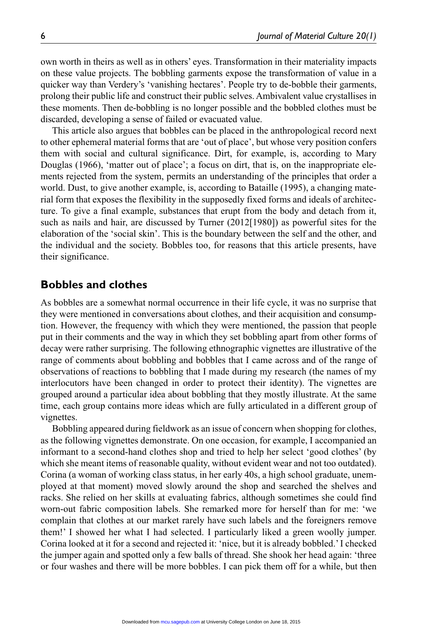own worth in theirs as well as in others' eyes. Transformation in their materiality impacts on these value projects. The bobbling garments expose the transformation of value in a quicker way than Verdery's 'vanishing hectares'. People try to de-bobble their garments, prolong their public life and construct their public selves. Ambivalent value crystallises in these moments. Then de-bobbling is no longer possible and the bobbled clothes must be discarded, developing a sense of failed or evacuated value.

This article also argues that bobbles can be placed in the anthropological record next to other ephemeral material forms that are 'out of place', but whose very position confers them with social and cultural significance. Dirt, for example, is, according to Mary Douglas (1966), 'matter out of place'; a focus on dirt, that is, on the inappropriate elements rejected from the system, permits an understanding of the principles that order a world. Dust, to give another example, is, according to Bataille (1995), a changing material form that exposes the flexibility in the supposedly fixed forms and ideals of architecture. To give a final example, substances that erupt from the body and detach from it, such as nails and hair, are discussed by Turner (2012[1980]) as powerful sites for the elaboration of the 'social skin'. This is the boundary between the self and the other, and the individual and the society. Bobbles too, for reasons that this article presents, have their significance.

## **Bobbles and clothes**

As bobbles are a somewhat normal occurrence in their life cycle, it was no surprise that they were mentioned in conversations about clothes, and their acquisition and consumption. However, the frequency with which they were mentioned, the passion that people put in their comments and the way in which they set bobbling apart from other forms of decay were rather surprising. The following ethnographic vignettes are illustrative of the range of comments about bobbling and bobbles that I came across and of the range of observations of reactions to bobbling that I made during my research (the names of my interlocutors have been changed in order to protect their identity). The vignettes are grouped around a particular idea about bobbling that they mostly illustrate. At the same time, each group contains more ideas which are fully articulated in a different group of vignettes.

Bobbling appeared during fieldwork as an issue of concern when shopping for clothes, as the following vignettes demonstrate. On one occasion, for example, I accompanied an informant to a second-hand clothes shop and tried to help her select 'good clothes' (by which she meant items of reasonable quality, without evident wear and not too outdated). Corina (a woman of working class status, in her early 40s, a high school graduate, unemployed at that moment) moved slowly around the shop and searched the shelves and racks. She relied on her skills at evaluating fabrics, although sometimes she could find worn-out fabric composition labels. She remarked more for herself than for me: 'we complain that clothes at our market rarely have such labels and the foreigners remove them!' I showed her what I had selected. I particularly liked a green woolly jumper. Corina looked at it for a second and rejected it: 'nice, but it is already bobbled.' I checked the jumper again and spotted only a few balls of thread. She shook her head again: 'three or four washes and there will be more bobbles. I can pick them off for a while, but then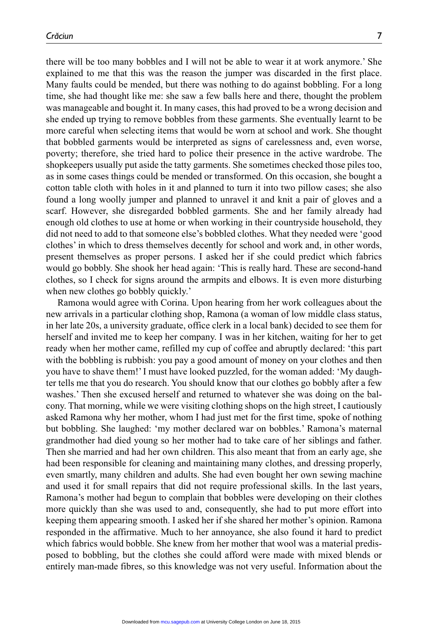time, she had thought like me: she saw a few balls here and there, thought the problem was manageable and bought it. In many cases, this had proved to be a wrong decision and she ended up trying to remove bobbles from these garments. She eventually learnt to be more careful when selecting items that would be worn at school and work. She thought that bobbled garments would be interpreted as signs of carelessness and, even worse, poverty; therefore, she tried hard to police their presence in the active wardrobe. The shopkeepers usually put aside the tatty garments. She sometimes checked those piles too, as in some cases things could be mended or transformed. On this occasion, she bought a cotton table cloth with holes in it and planned to turn it into two pillow cases; she also found a long woolly jumper and planned to unravel it and knit a pair of gloves and a scarf. However, she disregarded bobbled garments. She and her family already had enough old clothes to use at home or when working in their countryside household, they did not need to add to that someone else's bobbled clothes. What they needed were 'good clothes' in which to dress themselves decently for school and work and, in other words, present themselves as proper persons. I asked her if she could predict which fabrics would go bobbly. She shook her head again: 'This is really hard. These are second-hand clothes, so I check for signs around the armpits and elbows. It is even more disturbing when new clothes go bobbly quickly.'

Ramona would agree with Corina. Upon hearing from her work colleagues about the new arrivals in a particular clothing shop, Ramona (a woman of low middle class status, in her late 20s, a university graduate, office clerk in a local bank) decided to see them for herself and invited me to keep her company. I was in her kitchen, waiting for her to get ready when her mother came, refilled my cup of coffee and abruptly declared: 'this part with the bobbling is rubbish: you pay a good amount of money on your clothes and then you have to shave them!' I must have looked puzzled, for the woman added: 'My daughter tells me that you do research. You should know that our clothes go bobbly after a few washes.' Then she excused herself and returned to whatever she was doing on the balcony. That morning, while we were visiting clothing shops on the high street, I cautiously asked Ramona why her mother, whom I had just met for the first time, spoke of nothing but bobbling. She laughed: 'my mother declared war on bobbles.' Ramona's maternal grandmother had died young so her mother had to take care of her siblings and father. Then she married and had her own children. This also meant that from an early age, she had been responsible for cleaning and maintaining many clothes, and dressing properly, even smartly, many children and adults. She had even bought her own sewing machine and used it for small repairs that did not require professional skills. In the last years, Ramona's mother had begun to complain that bobbles were developing on their clothes more quickly than she was used to and, consequently, she had to put more effort into keeping them appearing smooth. I asked her if she shared her mother's opinion. Ramona responded in the affirmative. Much to her annoyance, she also found it hard to predict which fabrics would bobble. She knew from her mother that wool was a material predisposed to bobbling, but the clothes she could afford were made with mixed blends or entirely man-made fibres, so this knowledge was not very useful. Information about the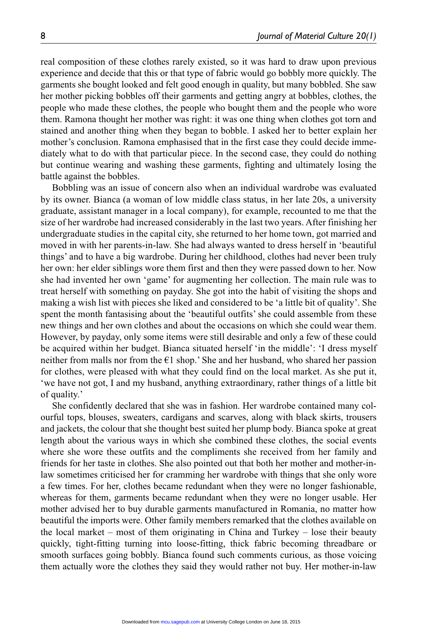real composition of these clothes rarely existed, so it was hard to draw upon previous experience and decide that this or that type of fabric would go bobbly more quickly. The garments she bought looked and felt good enough in quality, but many bobbled. She saw her mother picking bobbles off their garments and getting angry at bobbles, clothes, the people who made these clothes, the people who bought them and the people who wore them. Ramona thought her mother was right: it was one thing when clothes got torn and stained and another thing when they began to bobble. I asked her to better explain her mother's conclusion. Ramona emphasised that in the first case they could decide immediately what to do with that particular piece. In the second case, they could do nothing but continue wearing and washing these garments, fighting and ultimately losing the battle against the bobbles.

Bobbling was an issue of concern also when an individual wardrobe was evaluated by its owner. Bianca (a woman of low middle class status, in her late 20s, a university graduate, assistant manager in a local company), for example, recounted to me that the size of her wardrobe had increased considerably in the last two years. After finishing her undergraduate studies in the capital city, she returned to her home town, got married and moved in with her parents-in-law. She had always wanted to dress herself in 'beautiful things' and to have a big wardrobe. During her childhood, clothes had never been truly her own: her elder siblings wore them first and then they were passed down to her. Now she had invented her own 'game' for augmenting her collection. The main rule was to treat herself with something on payday. She got into the habit of visiting the shops and making a wish list with pieces she liked and considered to be 'a little bit of quality'. She spent the month fantasising about the 'beautiful outfits' she could assemble from these new things and her own clothes and about the occasions on which she could wear them. However, by payday, only some items were still desirable and only a few of these could be acquired within her budget. Bianca situated herself 'in the middle': 'I dress myself neither from malls nor from the  $E1$  shop.' She and her husband, who shared her passion for clothes, were pleased with what they could find on the local market. As she put it, 'we have not got, I and my husband, anything extraordinary, rather things of a little bit of quality.'

She confidently declared that she was in fashion. Her wardrobe contained many colourful tops, blouses, sweaters, cardigans and scarves, along with black skirts, trousers and jackets, the colour that she thought best suited her plump body. Bianca spoke at great length about the various ways in which she combined these clothes, the social events where she wore these outfits and the compliments she received from her family and friends for her taste in clothes. She also pointed out that both her mother and mother-inlaw sometimes criticised her for cramming her wardrobe with things that she only wore a few times. For her, clothes became redundant when they were no longer fashionable, whereas for them, garments became redundant when they were no longer usable. Her mother advised her to buy durable garments manufactured in Romania, no matter how beautiful the imports were. Other family members remarked that the clothes available on the local market – most of them originating in China and Turkey – lose their beauty quickly, tight-fitting turning into loose-fitting, thick fabric becoming threadbare or smooth surfaces going bobbly. Bianca found such comments curious, as those voicing them actually wore the clothes they said they would rather not buy. Her mother-in-law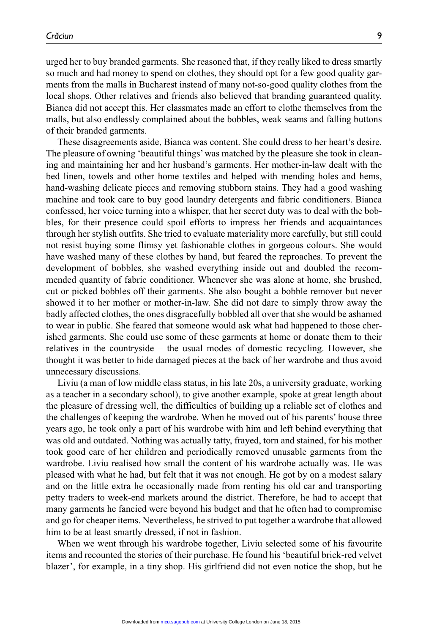urged her to buy branded garments. She reasoned that, if they really liked to dress smartly so much and had money to spend on clothes, they should opt for a few good quality garments from the malls in Bucharest instead of many not-so-good quality clothes from the local shops. Other relatives and friends also believed that branding guaranteed quality. Bianca did not accept this. Her classmates made an effort to clothe themselves from the malls, but also endlessly complained about the bobbles, weak seams and falling buttons of their branded garments.

These disagreements aside, Bianca was content. She could dress to her heart's desire. The pleasure of owning 'beautiful things' was matched by the pleasure she took in cleaning and maintaining her and her husband's garments. Her mother-in-law dealt with the bed linen, towels and other home textiles and helped with mending holes and hems, hand-washing delicate pieces and removing stubborn stains. They had a good washing machine and took care to buy good laundry detergents and fabric conditioners. Bianca confessed, her voice turning into a whisper, that her secret duty was to deal with the bobbles, for their presence could spoil efforts to impress her friends and acquaintances through her stylish outfits. She tried to evaluate materiality more carefully, but still could not resist buying some flimsy yet fashionable clothes in gorgeous colours. She would have washed many of these clothes by hand, but feared the reproaches. To prevent the development of bobbles, she washed everything inside out and doubled the recommended quantity of fabric conditioner. Whenever she was alone at home, she brushed, cut or picked bobbles off their garments. She also bought a bobble remover but never showed it to her mother or mother-in-law. She did not dare to simply throw away the badly affected clothes, the ones disgracefully bobbled all over that she would be ashamed to wear in public. She feared that someone would ask what had happened to those cherished garments. She could use some of these garments at home or donate them to their relatives in the countryside – the usual modes of domestic recycling. However, she thought it was better to hide damaged pieces at the back of her wardrobe and thus avoid unnecessary discussions.

Liviu (a man of low middle class status, in his late 20s, a university graduate, working as a teacher in a secondary school), to give another example, spoke at great length about the pleasure of dressing well, the difficulties of building up a reliable set of clothes and the challenges of keeping the wardrobe. When he moved out of his parents' house three years ago, he took only a part of his wardrobe with him and left behind everything that was old and outdated. Nothing was actually tatty, frayed, torn and stained, for his mother took good care of her children and periodically removed unusable garments from the wardrobe. Liviu realised how small the content of his wardrobe actually was. He was pleased with what he had, but felt that it was not enough. He got by on a modest salary and on the little extra he occasionally made from renting his old car and transporting petty traders to week-end markets around the district. Therefore, he had to accept that many garments he fancied were beyond his budget and that he often had to compromise and go for cheaper items. Nevertheless, he strived to put together a wardrobe that allowed him to be at least smartly dressed, if not in fashion.

When we went through his wardrobe together, Liviu selected some of his favourite items and recounted the stories of their purchase. He found his 'beautiful brick-red velvet blazer', for example, in a tiny shop. His girlfriend did not even notice the shop, but he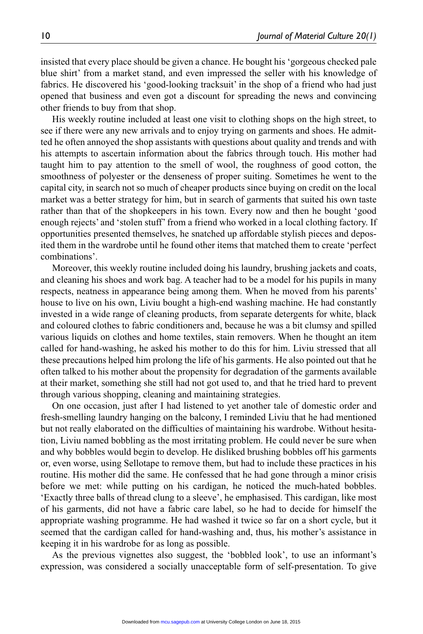insisted that every place should be given a chance. He bought his 'gorgeous checked pale blue shirt' from a market stand, and even impressed the seller with his knowledge of fabrics. He discovered his 'good-looking tracksuit' in the shop of a friend who had just opened that business and even got a discount for spreading the news and convincing other friends to buy from that shop.

His weekly routine included at least one visit to clothing shops on the high street, to see if there were any new arrivals and to enjoy trying on garments and shoes. He admitted he often annoyed the shop assistants with questions about quality and trends and with his attempts to ascertain information about the fabrics through touch. His mother had taught him to pay attention to the smell of wool, the roughness of good cotton, the smoothness of polyester or the denseness of proper suiting. Sometimes he went to the capital city, in search not so much of cheaper products since buying on credit on the local market was a better strategy for him, but in search of garments that suited his own taste rather than that of the shopkeepers in his town. Every now and then he bought 'good enough rejects' and 'stolen stuff' from a friend who worked in a local clothing factory. If opportunities presented themselves, he snatched up affordable stylish pieces and deposited them in the wardrobe until he found other items that matched them to create 'perfect combinations'.

Moreover, this weekly routine included doing his laundry, brushing jackets and coats, and cleaning his shoes and work bag. A teacher had to be a model for his pupils in many respects, neatness in appearance being among them. When he moved from his parents' house to live on his own, Liviu bought a high-end washing machine. He had constantly invested in a wide range of cleaning products, from separate detergents for white, black and coloured clothes to fabric conditioners and, because he was a bit clumsy and spilled various liquids on clothes and home textiles, stain removers. When he thought an item called for hand-washing, he asked his mother to do this for him. Liviu stressed that all these precautions helped him prolong the life of his garments. He also pointed out that he often talked to his mother about the propensity for degradation of the garments available at their market, something she still had not got used to, and that he tried hard to prevent through various shopping, cleaning and maintaining strategies.

On one occasion, just after I had listened to yet another tale of domestic order and fresh-smelling laundry hanging on the balcony, I reminded Liviu that he had mentioned but not really elaborated on the difficulties of maintaining his wardrobe. Without hesitation, Liviu named bobbling as the most irritating problem. He could never be sure when and why bobbles would begin to develop. He disliked brushing bobbles off his garments or, even worse, using Sellotape to remove them, but had to include these practices in his routine. His mother did the same. He confessed that he had gone through a minor crisis before we met: while putting on his cardigan, he noticed the much-hated bobbles. 'Exactly three balls of thread clung to a sleeve', he emphasised. This cardigan, like most of his garments, did not have a fabric care label, so he had to decide for himself the appropriate washing programme. He had washed it twice so far on a short cycle, but it seemed that the cardigan called for hand-washing and, thus, his mother's assistance in keeping it in his wardrobe for as long as possible.

As the previous vignettes also suggest, the 'bobbled look', to use an informant's expression, was considered a socially unacceptable form of self-presentation. To give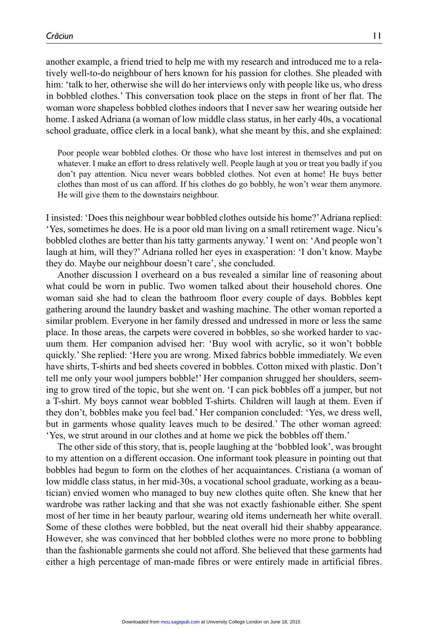another example, a friend tried to help me with my research and introduced me to a relatively well-to-do neighbour of hers known for his passion for clothes. She pleaded with him: 'talk to her, otherwise she will do her interviews only with people like us, who dress in bobbled clothes.' This conversation took place on the steps in front of her flat. The woman wore shapeless bobbled clothes indoors that I never saw her wearing outside her home. I asked Adriana (a woman of low middle class status, in her early 40s, a vocational school graduate, office clerk in a local bank), what she meant by this, and she explained:

Poor people wear bobbled clothes. Or those who have lost interest in themselves and put on whatever. I make an effort to dress relatively well. People laugh at you or treat you badly if you don't pay attention. Nicu never wears bobbled clothes. Not even at home! He buys better clothes than most of us can afford. If his clothes do go bobbly, he won't wear them anymore. He will give them to the downstairs neighbour.

I insisted: 'Does this neighbour wear bobbled clothes outside his home?' Adriana replied: 'Yes, sometimes he does. He is a poor old man living on a small retirement wage. Nicu's bobbled clothes are better than his tatty garments anyway.' I went on: 'And people won't laugh at him, will they?' Adriana rolled her eyes in exasperation: 'I don't know. Maybe they do. Maybe our neighbour doesn't care', she concluded.

Another discussion I overheard on a bus revealed a similar line of reasoning about what could be worn in public. Two women talked about their household chores. One woman said she had to clean the bathroom floor every couple of days. Bobbles kept gathering around the laundry basket and washing machine. The other woman reported a similar problem. Everyone in her family dressed and undressed in more or less the same place. In those areas, the carpets were covered in bobbles, so she worked harder to vacuum them. Her companion advised her: 'Buy wool with acrylic, so it won't bobble quickly.' She replied: 'Here you are wrong. Mixed fabrics bobble immediately. We even have shirts, T-shirts and bed sheets covered in bobbles. Cotton mixed with plastic. Don't tell me only your wool jumpers bobble!' Her companion shrugged her shoulders, seeming to grow tired of the topic, but she went on. 'I can pick bobbles off a jumper, but not a T-shirt. My boys cannot wear bobbled T-shirts. Children will laugh at them. Even if they don't, bobbles make you feel bad.' Her companion concluded: 'Yes, we dress well, but in garments whose quality leaves much to be desired.' The other woman agreed: 'Yes, we strut around in our clothes and at home we pick the bobbles off them.'

The other side of this story, that is, people laughing at the 'bobbled look', was brought to my attention on a different occasion. One informant took pleasure in pointing out that bobbles had begun to form on the clothes of her acquaintances. Cristiana (a woman of low middle class status, in her mid-30s, a vocational school graduate, working as a beautician) envied women who managed to buy new clothes quite often. She knew that her wardrobe was rather lacking and that she was not exactly fashionable either. She spent most of her time in her beauty parlour, wearing old items underneath her white overall. Some of these clothes were bobbled, but the neat overall hid their shabby appearance. However, she was convinced that her bobbled clothes were no more prone to bobbling than the fashionable garments she could not afford. She believed that these garments had either a high percentage of man-made fibres or were entirely made in artificial fibres.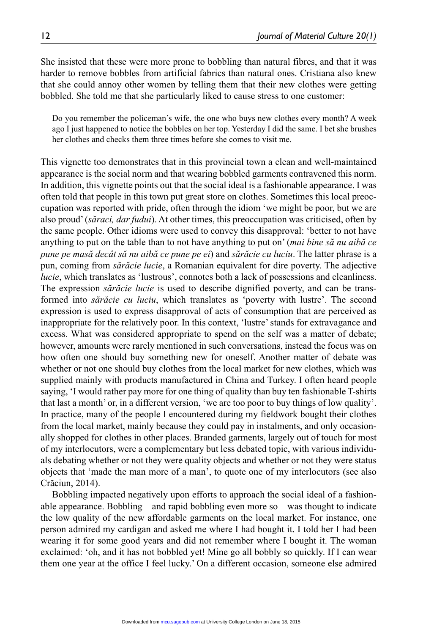She insisted that these were more prone to bobbling than natural fibres, and that it was harder to remove bobbles from artificial fabrics than natural ones. Cristiana also knew that she could annoy other women by telling them that their new clothes were getting bobbled. She told me that she particularly liked to cause stress to one customer:

Do you remember the policeman's wife, the one who buys new clothes every month? A week ago I just happened to notice the bobbles on her top. Yesterday I did the same. I bet she brushes her clothes and checks them three times before she comes to visit me.

This vignette too demonstrates that in this provincial town a clean and well-maintained appearance is the social norm and that wearing bobbled garments contravened this norm. In addition, this vignette points out that the social ideal is a fashionable appearance. I was often told that people in this town put great store on clothes. Sometimes this local preoccupation was reported with pride, often through the idiom 'we might be poor, but we are also proud' (*săraci, dar fudui*). At other times, this preoccupation was criticised, often by the same people. Other idioms were used to convey this disapproval: 'better to not have anything to put on the table than to not have anything to put on' (*mai bine să nu aibă ce pune pe masă decât să nu aibă ce pune pe ei*) and *sărăcie cu luciu*. The latter phrase is a pun, coming from *sărăcie lucie*, a Romanian equivalent for dire poverty. The adjective *lucie*, which translates as 'lustrous', connotes both a lack of possessions and cleanliness. The expression *sărăcie lucie* is used to describe dignified poverty, and can be transformed into *sărăcie cu luciu*, which translates as 'poverty with lustre'. The second expression is used to express disapproval of acts of consumption that are perceived as inappropriate for the relatively poor. In this context, 'lustre' stands for extravagance and excess. What was considered appropriate to spend on the self was a matter of debate; however, amounts were rarely mentioned in such conversations, instead the focus was on how often one should buy something new for oneself. Another matter of debate was whether or not one should buy clothes from the local market for new clothes, which was supplied mainly with products manufactured in China and Turkey. I often heard people saying, 'I would rather pay more for one thing of quality than buy ten fashionable T-shirts that last a month' or, in a different version, 'we are too poor to buy things of low quality'. In practice, many of the people I encountered during my fieldwork bought their clothes from the local market, mainly because they could pay in instalments, and only occasionally shopped for clothes in other places. Branded garments, largely out of touch for most of my interlocutors, were a complementary but less debated topic, with various individuals debating whether or not they were quality objects and whether or not they were status objects that 'made the man more of a man', to quote one of my interlocutors (see also Crăciun, 2014).

Bobbling impacted negatively upon efforts to approach the social ideal of a fashionable appearance. Bobbling – and rapid bobbling even more so – was thought to indicate the low quality of the new affordable garments on the local market. For instance, one person admired my cardigan and asked me where I had bought it. I told her I had been wearing it for some good years and did not remember where I bought it. The woman exclaimed: 'oh, and it has not bobbled yet! Mine go all bobbly so quickly. If I can wear them one year at the office I feel lucky.' On a different occasion, someone else admired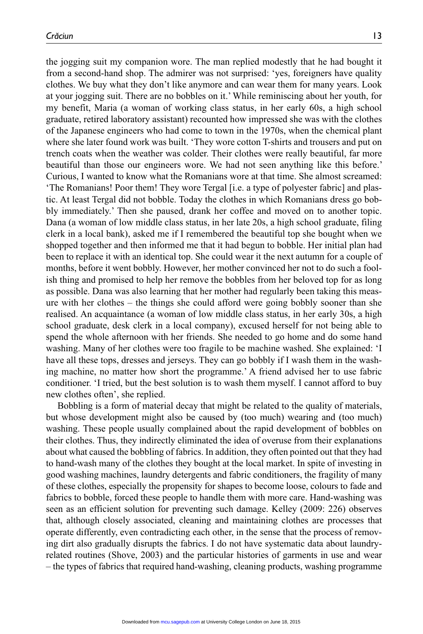the jogging suit my companion wore. The man replied modestly that he had bought it from a second-hand shop. The admirer was not surprised: 'yes, foreigners have quality clothes. We buy what they don't like anymore and can wear them for many years. Look at your jogging suit. There are no bobbles on it.' While reminiscing about her youth, for my benefit, Maria (a woman of working class status, in her early 60s, a high school graduate, retired laboratory assistant) recounted how impressed she was with the clothes of the Japanese engineers who had come to town in the 1970s, when the chemical plant where she later found work was built. 'They wore cotton T-shirts and trousers and put on trench coats when the weather was colder. Their clothes were really beautiful, far more beautiful than those our engineers wore. We had not seen anything like this before.' Curious, I wanted to know what the Romanians wore at that time. She almost screamed: 'The Romanians! Poor them! They wore Tergal [i.e. a type of polyester fabric] and plastic. At least Tergal did not bobble. Today the clothes in which Romanians dress go bobbly immediately.' Then she paused, drank her coffee and moved on to another topic. Dana (a woman of low middle class status, in her late 20s, a high school graduate, filing clerk in a local bank), asked me if I remembered the beautiful top she bought when we shopped together and then informed me that it had begun to bobble. Her initial plan had been to replace it with an identical top. She could wear it the next autumn for a couple of months, before it went bobbly. However, her mother convinced her not to do such a foolish thing and promised to help her remove the bobbles from her beloved top for as long as possible. Dana was also learning that her mother had regularly been taking this measure with her clothes – the things she could afford were going bobbly sooner than she realised. An acquaintance (a woman of low middle class status, in her early 30s, a high school graduate, desk clerk in a local company), excused herself for not being able to spend the whole afternoon with her friends. She needed to go home and do some hand washing. Many of her clothes were too fragile to be machine washed. She explained: 'I have all these tops, dresses and jerseys. They can go bobbly if I wash them in the washing machine, no matter how short the programme.' A friend advised her to use fabric conditioner. 'I tried, but the best solution is to wash them myself. I cannot afford to buy new clothes often', she replied.

Bobbling is a form of material decay that might be related to the quality of materials, but whose development might also be caused by (too much) wearing and (too much) washing. These people usually complained about the rapid development of bobbles on their clothes. Thus, they indirectly eliminated the idea of overuse from their explanations about what caused the bobbling of fabrics. In addition, they often pointed out that they had to hand-wash many of the clothes they bought at the local market. In spite of investing in good washing machines, laundry detergents and fabric conditioners, the fragility of many of these clothes, especially the propensity for shapes to become loose, colours to fade and fabrics to bobble, forced these people to handle them with more care. Hand-washing was seen as an efficient solution for preventing such damage. Kelley (2009: 226) observes that, although closely associated, cleaning and maintaining clothes are processes that operate differently, even contradicting each other, in the sense that the process of removing dirt also gradually disrupts the fabrics. I do not have systematic data about laundryrelated routines (Shove, 2003) and the particular histories of garments in use and wear – the types of fabrics that required hand-washing, cleaning products, washing programme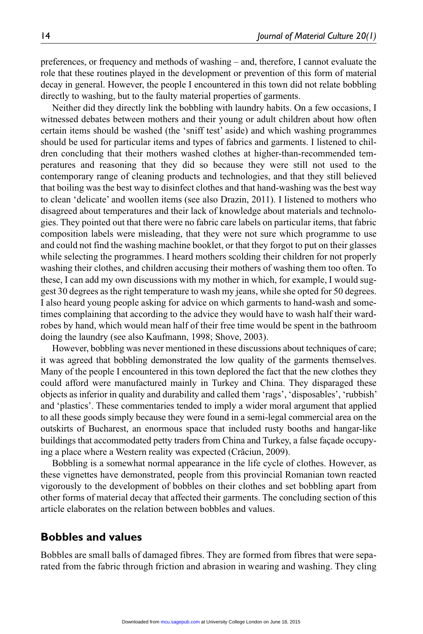preferences, or frequency and methods of washing – and, therefore, I cannot evaluate the role that these routines played in the development or prevention of this form of material decay in general. However, the people I encountered in this town did not relate bobbling directly to washing, but to the faulty material properties of garments.

Neither did they directly link the bobbling with laundry habits. On a few occasions, I witnessed debates between mothers and their young or adult children about how often certain items should be washed (the 'sniff test' aside) and which washing programmes should be used for particular items and types of fabrics and garments. I listened to children concluding that their mothers washed clothes at higher-than-recommended temperatures and reasoning that they did so because they were still not used to the contemporary range of cleaning products and technologies, and that they still believed that boiling was the best way to disinfect clothes and that hand-washing was the best way to clean 'delicate' and woollen items (see also Drazin, 2011). I listened to mothers who disagreed about temperatures and their lack of knowledge about materials and technologies. They pointed out that there were no fabric care labels on particular items, that fabric composition labels were misleading, that they were not sure which programme to use and could not find the washing machine booklet, or that they forgot to put on their glasses while selecting the programmes. I heard mothers scolding their children for not properly washing their clothes, and children accusing their mothers of washing them too often. To these, I can add my own discussions with my mother in which, for example, I would suggest 30 degrees as the right temperature to wash my jeans, while she opted for 50 degrees. I also heard young people asking for advice on which garments to hand-wash and sometimes complaining that according to the advice they would have to wash half their wardrobes by hand, which would mean half of their free time would be spent in the bathroom doing the laundry (see also Kaufmann, 1998; Shove, 2003).

However, bobbling was never mentioned in these discussions about techniques of care; it was agreed that bobbling demonstrated the low quality of the garments themselves. Many of the people I encountered in this town deplored the fact that the new clothes they could afford were manufactured mainly in Turkey and China. They disparaged these objects as inferior in quality and durability and called them 'rags', 'disposables', 'rubbish' and 'plastics'. These commentaries tended to imply a wider moral argument that applied to all these goods simply because they were found in a semi-legal commercial area on the outskirts of Bucharest, an enormous space that included rusty booths and hangar-like buildings that accommodated petty traders from China and Turkey, a false façade occupying a place where a Western reality was expected (Crăciun, 2009).

Bobbling is a somewhat normal appearance in the life cycle of clothes. However, as these vignettes have demonstrated, people from this provincial Romanian town reacted vigorously to the development of bobbles on their clothes and set bobbling apart from other forms of material decay that affected their garments. The concluding section of this article elaborates on the relation between bobbles and values.

## **Bobbles and values**

Bobbles are small balls of damaged fibres. They are formed from fibres that were separated from the fabric through friction and abrasion in wearing and washing. They cling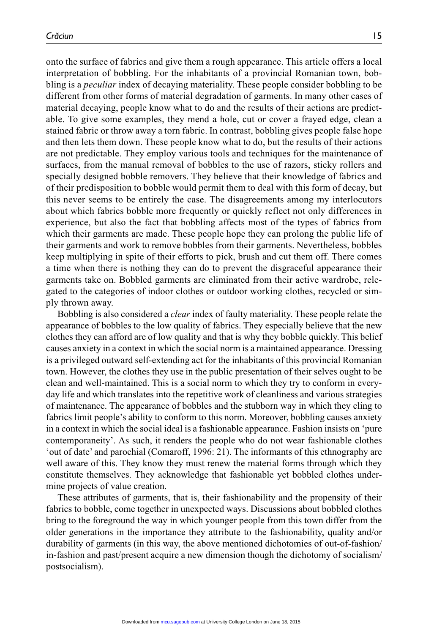onto the surface of fabrics and give them a rough appearance. This article offers a local interpretation of bobbling. For the inhabitants of a provincial Romanian town, bobbling is a *peculiar* index of decaying materiality. These people consider bobbling to be different from other forms of material degradation of garments. In many other cases of material decaying, people know what to do and the results of their actions are predictable. To give some examples, they mend a hole, cut or cover a frayed edge, clean a stained fabric or throw away a torn fabric. In contrast, bobbling gives people false hope and then lets them down. These people know what to do, but the results of their actions are not predictable. They employ various tools and techniques for the maintenance of surfaces, from the manual removal of bobbles to the use of razors, sticky rollers and specially designed bobble removers. They believe that their knowledge of fabrics and of their predisposition to bobble would permit them to deal with this form of decay, but this never seems to be entirely the case. The disagreements among my interlocutors about which fabrics bobble more frequently or quickly reflect not only differences in experience, but also the fact that bobbling affects most of the types of fabrics from which their garments are made. These people hope they can prolong the public life of their garments and work to remove bobbles from their garments. Nevertheless, bobbles keep multiplying in spite of their efforts to pick, brush and cut them off. There comes a time when there is nothing they can do to prevent the disgraceful appearance their garments take on. Bobbled garments are eliminated from their active wardrobe, relegated to the categories of indoor clothes or outdoor working clothes, recycled or simply thrown away.

Bobbling is also considered a *clear* index of faulty materiality. These people relate the appearance of bobbles to the low quality of fabrics. They especially believe that the new clothes they can afford are of low quality and that is why they bobble quickly. This belief causes anxiety in a context in which the social norm is a maintained appearance. Dressing is a privileged outward self-extending act for the inhabitants of this provincial Romanian town. However, the clothes they use in the public presentation of their selves ought to be clean and well-maintained. This is a social norm to which they try to conform in everyday life and which translates into the repetitive work of cleanliness and various strategies of maintenance. The appearance of bobbles and the stubborn way in which they cling to fabrics limit people's ability to conform to this norm. Moreover, bobbling causes anxiety in a context in which the social ideal is a fashionable appearance. Fashion insists on 'pure contemporaneity'. As such, it renders the people who do not wear fashionable clothes 'out of date' and parochial (Comaroff, 1996: 21). The informants of this ethnography are well aware of this. They know they must renew the material forms through which they constitute themselves. They acknowledge that fashionable yet bobbled clothes undermine projects of value creation.

These attributes of garments, that is, their fashionability and the propensity of their fabrics to bobble, come together in unexpected ways. Discussions about bobbled clothes bring to the foreground the way in which younger people from this town differ from the older generations in the importance they attribute to the fashionability, quality and/or durability of garments (in this way, the above mentioned dichotomies of out-of-fashion/ in-fashion and past/present acquire a new dimension though the dichotomy of socialism/ postsocialism).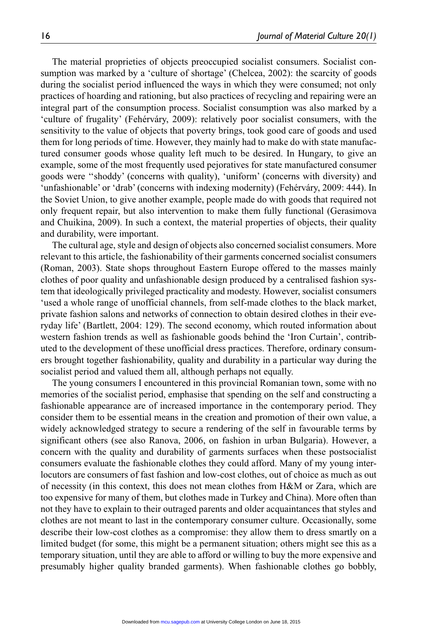The material proprieties of objects preoccupied socialist consumers. Socialist consumption was marked by a 'culture of shortage' (Chelcea, 2002): the scarcity of goods during the socialist period influenced the ways in which they were consumed; not only practices of hoarding and rationing, but also practices of recycling and repairing were an integral part of the consumption process. Socialist consumption was also marked by a 'culture of frugality' (Fehérváry, 2009): relatively poor socialist consumers, with the sensitivity to the value of objects that poverty brings, took good care of goods and used them for long periods of time. However, they mainly had to make do with state manufactured consumer goods whose quality left much to be desired. In Hungary, to give an example, some of the most frequently used pejoratives for state manufactured consumer goods were ''shoddy' (concerns with quality), 'uniform' (concerns with diversity) and 'unfashionable' or 'drab' (concerns with indexing modernity) (Fehérváry, 2009: 444). In the Soviet Union, to give another example, people made do with goods that required not only frequent repair, but also intervention to make them fully functional (Gerasimova and Chuikina, 2009). In such a context, the material properties of objects, their quality and durability, were important.

The cultural age, style and design of objects also concerned socialist consumers. More relevant to this article, the fashionability of their garments concerned socialist consumers (Roman, 2003). State shops throughout Eastern Europe offered to the masses mainly clothes of poor quality and unfashionable design produced by a centralised fashion system that ideologically privileged practicality and modesty. However, socialist consumers 'used a whole range of unofficial channels, from self-made clothes to the black market, private fashion salons and networks of connection to obtain desired clothes in their everyday life' (Bartlett, 2004: 129). The second economy, which routed information about western fashion trends as well as fashionable goods behind the 'Iron Curtain', contributed to the development of these unofficial dress practices. Therefore, ordinary consumers brought together fashionability, quality and durability in a particular way during the socialist period and valued them all, although perhaps not equally.

The young consumers I encountered in this provincial Romanian town, some with no memories of the socialist period, emphasise that spending on the self and constructing a fashionable appearance are of increased importance in the contemporary period. They consider them to be essential means in the creation and promotion of their own value, a widely acknowledged strategy to secure a rendering of the self in favourable terms by significant others (see also Ranova, 2006, on fashion in urban Bulgaria). However, a concern with the quality and durability of garments surfaces when these postsocialist consumers evaluate the fashionable clothes they could afford. Many of my young interlocutors are consumers of fast fashion and low-cost clothes, out of choice as much as out of necessity (in this context, this does not mean clothes from H&M or Zara, which are too expensive for many of them, but clothes made in Turkey and China). More often than not they have to explain to their outraged parents and older acquaintances that styles and clothes are not meant to last in the contemporary consumer culture. Occasionally, some describe their low-cost clothes as a compromise: they allow them to dress smartly on a limited budget (for some, this might be a permanent situation; others might see this as a temporary situation, until they are able to afford or willing to buy the more expensive and presumably higher quality branded garments). When fashionable clothes go bobbly,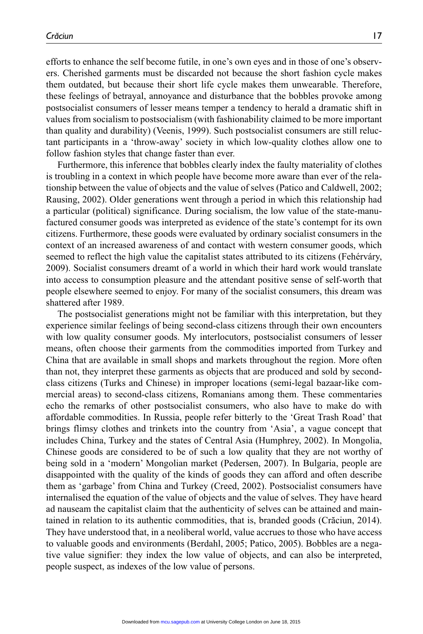efforts to enhance the self become futile, in one's own eyes and in those of one's observers. Cherished garments must be discarded not because the short fashion cycle makes them outdated, but because their short life cycle makes them unwearable. Therefore, these feelings of betrayal, annoyance and disturbance that the bobbles provoke among postsocialist consumers of lesser means temper a tendency to herald a dramatic shift in values from socialism to postsocialism (with fashionability claimed to be more important than quality and durability) (Veenis, 1999). Such postsocialist consumers are still reluctant participants in a 'throw-away' society in which low-quality clothes allow one to follow fashion styles that change faster than ever.

Furthermore, this inference that bobbles clearly index the faulty materiality of clothes is troubling in a context in which people have become more aware than ever of the relationship between the value of objects and the value of selves (Patico and Caldwell, 2002; Rausing, 2002). Older generations went through a period in which this relationship had a particular (political) significance. During socialism, the low value of the state-manufactured consumer goods was interpreted as evidence of the state's contempt for its own citizens. Furthermore, these goods were evaluated by ordinary socialist consumers in the context of an increased awareness of and contact with western consumer goods, which seemed to reflect the high value the capitalist states attributed to its citizens (Fehérváry, 2009). Socialist consumers dreamt of a world in which their hard work would translate into access to consumption pleasure and the attendant positive sense of self-worth that people elsewhere seemed to enjoy. For many of the socialist consumers, this dream was shattered after 1989.

The postsocialist generations might not be familiar with this interpretation, but they experience similar feelings of being second-class citizens through their own encounters with low quality consumer goods. My interlocutors, postsocialist consumers of lesser means, often choose their garments from the commodities imported from Turkey and China that are available in small shops and markets throughout the region. More often than not, they interpret these garments as objects that are produced and sold by secondclass citizens (Turks and Chinese) in improper locations (semi-legal bazaar-like commercial areas) to second-class citizens, Romanians among them. These commentaries echo the remarks of other postsocialist consumers, who also have to make do with affordable commodities. In Russia, people refer bitterly to the 'Great Trash Road' that brings flimsy clothes and trinkets into the country from 'Asia', a vague concept that includes China, Turkey and the states of Central Asia (Humphrey, 2002). In Mongolia, Chinese goods are considered to be of such a low quality that they are not worthy of being sold in a 'modern' Mongolian market (Pedersen, 2007). In Bulgaria, people are disappointed with the quality of the kinds of goods they can afford and often describe them as 'garbage' from China and Turkey (Creed, 2002). Postsocialist consumers have internalised the equation of the value of objects and the value of selves. They have heard ad nauseam the capitalist claim that the authenticity of selves can be attained and maintained in relation to its authentic commodities, that is, branded goods (Crăciun, 2014). They have understood that, in a neoliberal world, value accrues to those who have access to valuable goods and environments (Berdahl, 2005; Patico, 2005). Bobbles are a negative value signifier: they index the low value of objects, and can also be interpreted, people suspect, as indexes of the low value of persons.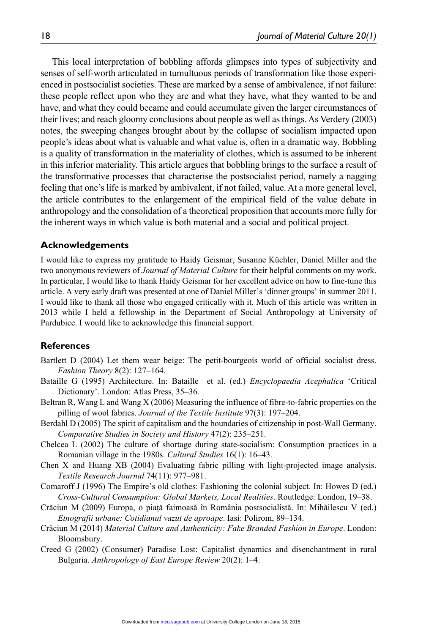This local interpretation of bobbling affords glimpses into types of subjectivity and senses of self-worth articulated in tumultuous periods of transformation like those experienced in postsocialist societies. These are marked by a sense of ambivalence, if not failure: these people reflect upon who they are and what they have, what they wanted to be and have, and what they could became and could accumulate given the larger circumstances of their lives; and reach gloomy conclusions about people as well as things. As Verdery (2003) notes, the sweeping changes brought about by the collapse of socialism impacted upon people's ideas about what is valuable and what value is, often in a dramatic way. Bobbling is a quality of transformation in the materiality of clothes, which is assumed to be inherent in this inferior materiality. This article argues that bobbling brings to the surface a result of the transformative processes that characterise the postsocialist period, namely a nagging feeling that one's life is marked by ambivalent, if not failed, value. At a more general level, the article contributes to the enlargement of the empirical field of the value debate in anthropology and the consolidation of a theoretical proposition that accounts more fully for the inherent ways in which value is both material and a social and political project.

## **Acknowledgements**

I would like to express my gratitude to Haidy Geismar, Susanne Küchler, Daniel Miller and the two anonymous reviewers of *Journal of Material Culture* for their helpful comments on my work. In particular, I would like to thank Haidy Geismar for her excellent advice on how to fine-tune this article. A very early draft was presented at one of Daniel Miller's 'dinner groups' in summer 2011. I would like to thank all those who engaged critically with it. Much of this article was written in 2013 while I held a fellowship in the Department of Social Anthropology at University of Pardubice. I would like to acknowledge this financial support.

## **References**

- Bartlett D (2004) Let them wear beige: The petit-bourgeois world of official socialist dress. *Fashion Theory* 8(2): 127–164.
- Bataille G (1995) Architecture. In: Bataille et al. (ed.) *Encyclopaedia Acephalica* 'Critical Dictionary'. London: Atlas Press, 35–36.
- Beltran R, Wang L and Wang X (2006) Measuring the influence of fibre-to-fabric properties on the pilling of wool fabrics. *Journal of the Textile Institute* 97(3): 197–204.
- Berdahl D (2005) The spirit of capitalism and the boundaries of citizenship in post-Wall Germany. *Comparative Studies in Society and History* 47(2): 235–251.
- Chelcea L (2002) The culture of shortage during state-socialism: Consumption practices in a Romanian village in the 1980s. *Cultural Studies* 16(1): 16–43.
- Chen X and Huang XB (2004) Evaluating fabric pilling with light-projected image analysis. *Textile Research Journal* 74(11): 977–981.
- Comaroff J (1996) The Empire's old clothes: Fashioning the colonial subject. In: Howes D (ed.) *Cross-Cultural Consumption: Global Markets, Local Realities*. Routledge: London, 19–38.
- Crăciun M (2009) Europa, o piaţă faimoasă în România postsocialistă. In: Mihăilescu V (ed.) *Etnografii urbane: Cotidianul vazut de aproape*. Iasi: Polirom, 89–134.
- Crăciun M (2014) *Material Culture and Authenticity: Fake Branded Fashion in Europe*. London: Bloomsbury.
- Creed G (2002) (Consumer) Paradise Lost: Capitalist dynamics and disenchantment in rural Bulgaria. *Anthropology of East Europe Review* 20(2): 1–4.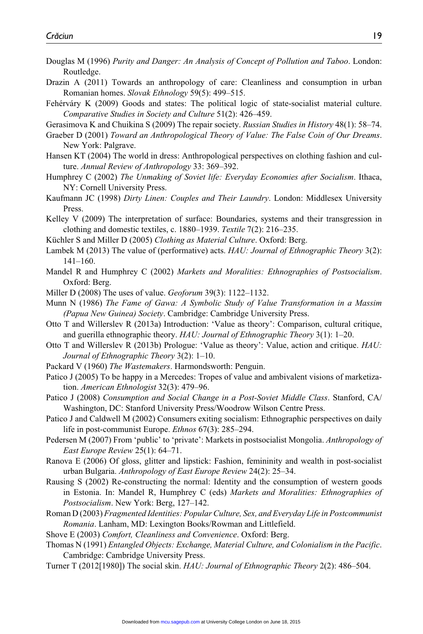- Douglas M (1996) *Purity and Danger: An Analysis of Concept of Pollution and Taboo*. London: Routledge.
- Drazin A (2011) Towards an anthropology of care: Cleanliness and consumption in urban Romanian homes. *Slovak Ethnology* 59(5): 499–515.
- Fehérváry K (2009) Goods and states: The political logic of state-socialist material culture. *Comparative Studies in Society and Culture* 51(2): 426–459.
- Gerasimova K and Chuikina S (2009) The repair society. *Russian Studies in History* 48(1): 58–74.
- Graeber D (2001) *Toward an Anthropological Theory of Value: The False Coin of Our Dreams*. New York: Palgrave.
- Hansen KT (2004) The world in dress: Anthropological perspectives on clothing fashion and culture. *Annual Review of Anthropology* 33: 369–392.
- Humphrey C (2002) *The Unmaking of Soviet life: Everyday Economies after Socialism*. Ithaca, NY: Cornell University Press.
- Kaufmann JC (1998) *Dirty Linen: Couples and Their Laundry*. London: Middlesex University Press.
- Kelley V (2009) The interpretation of surface: Boundaries, systems and their transgression in clothing and domestic textiles, c. 1880–1939. *Textile* 7(2): 216–235.
- Küchler S and Miller D (2005) *Clothing as Material Culture*. Oxford: Berg.
- Lambek M (2013) The value of (performative) acts. *HAU: Journal of Ethnographic Theory* 3(2): 141–160.
- Mandel R and Humphrey C (2002) *Markets and Moralities: Ethnographies of Postsocialism*. Oxford: Berg.
- Miller D (2008) The uses of value. *Geoforum* 39(3): 1122–1132.
- Munn N (1986) *The Fame of Gawa: A Symbolic Study of Value Transformation in a Massim (Papua New Guinea) Society*. Cambridge: Cambridge University Press.
- Otto T and Willerslev R (2013a) Introduction: 'Value as theory': Comparison, cultural critique, and guerilla ethnographic theory. *HAU: Journal of Ethnographic Theory* 3(1): 1–20.
- Otto T and Willerslev R (2013b) Prologue: 'Value as theory': Value, action and critique. *HAU: Journal of Ethnographic Theory* 3(2): 1–10.
- Packard V (1960) *The Wastemakers*. Harmondsworth: Penguin.
- Patico J (2005) To be happy in a Mercedes: Tropes of value and ambivalent visions of marketization. *American Ethnologist* 32(3): 479–96.
- Patico J (2008) *Consumption and Social Change in a Post-Soviet Middle Class*. Stanford, CA/ Washington, DC: Stanford University Press/Woodrow Wilson Centre Press.
- Patico J and Caldwell M (2002) Consumers exiting socialism: Ethnographic perspectives on daily life in post-communist Europe. *Ethnos* 67(3): 285–294.
- Pedersen M (2007) From 'public' to 'private': Markets in postsocialist Mongolia. *Anthropology of East Europe Review* 25(1): 64–71.
- Ranova E (2006) Of gloss, glitter and lipstick: Fashion, femininity and wealth in post-socialist urban Bulgaria. *Anthropology of East Europe Review* 24(2): 25–34.
- Rausing S (2002) Re-constructing the normal: Identity and the consumption of western goods in Estonia. In: Mandel R, Humphrey C (eds) *Markets and Moralities: Ethnographies of Postsocialism*. New York: Berg, 127–142.
- Roman D (2003) *Fragmented Identities: Popular Culture, Sex, and Everyday Life in Postcommunist Romania*. Lanham, MD: Lexington Books/Rowman and Littlefield.
- Shove E (2003) *Comfort, Cleanliness and Convenience*. Oxford: Berg.
- Thomas N (1991) *Entangled Objects: Exchange, Material Culture, and Colonialism in the Pacific*. Cambridge: Cambridge University Press.
- Turner T (2012[1980]) The social skin. *HAU: Journal of Ethnographic Theory* 2(2): 486–504.